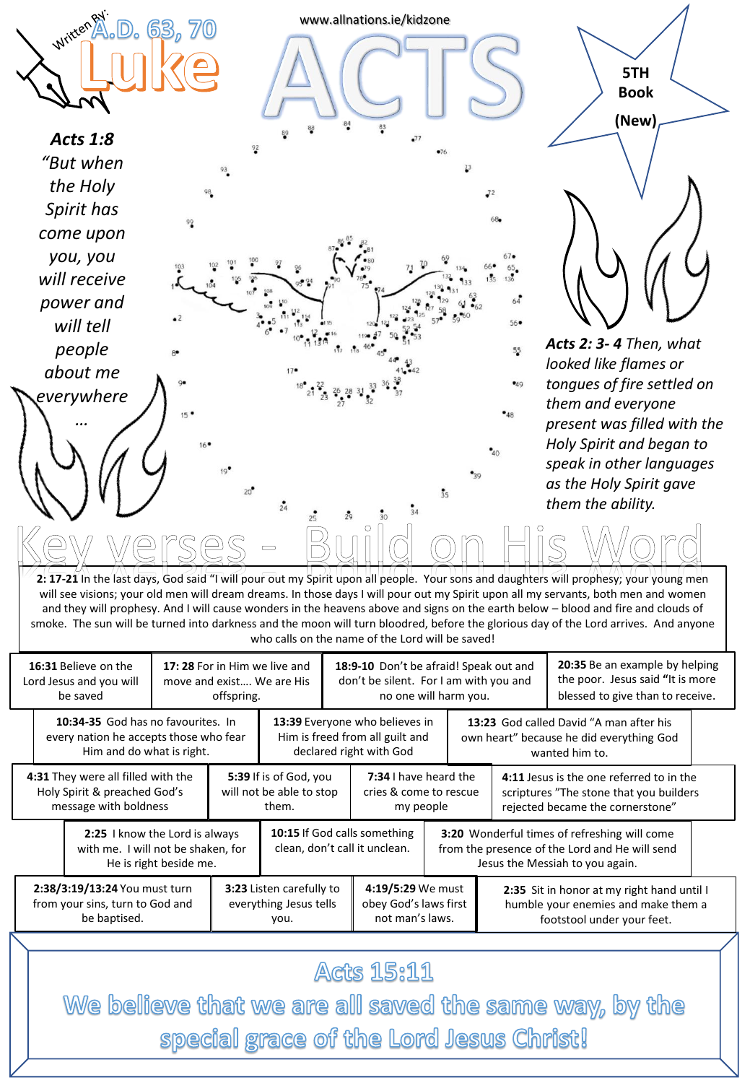

www.allnations.ie/kidzone